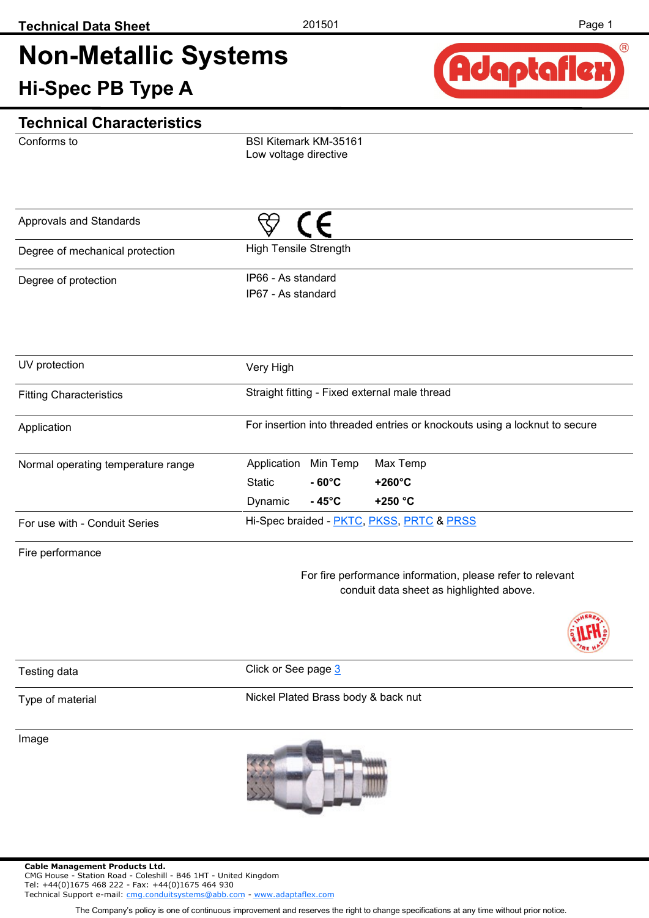## **Non-Metallic Systems Hi-Spec PB Type A**



#### **Technical Characteristics**

Conforms to

BSI Kitemark KM-35161 Low voltage directive

| Approvals and Standards         |                                          |
|---------------------------------|------------------------------------------|
| Degree of mechanical protection | <b>High Tensile Strength</b>             |
| Degree of protection            | IP66 - As standard<br>IP67 - As standard |

| UV protection                      | Very High                                                                  |                   |                  |  |  |  |  |  |
|------------------------------------|----------------------------------------------------------------------------|-------------------|------------------|--|--|--|--|--|
| <b>Fitting Characteristics</b>     | Straight fitting - Fixed external male thread                              |                   |                  |  |  |  |  |  |
| Application                        | For insertion into threaded entries or knockouts using a locknut to secure |                   |                  |  |  |  |  |  |
| Normal operating temperature range | Application                                                                | Min Temp          | Max Temp         |  |  |  |  |  |
|                                    | Static                                                                     | $-60^{\circ}$ C   | $+260^{\circ}$ C |  |  |  |  |  |
|                                    | Dynamic                                                                    | - 45 $^{\circ}$ C | $+250 °C$        |  |  |  |  |  |
| For use with - Conduit Series      | Hi-Spec braided - PKTC, PKSS, PRTC & PRSS                                  |                   |                  |  |  |  |  |  |

Fire performance

For fire performance information, please refer to relevant conduit data sheet as highlighted above.



Testing data **Click** or See page [3](#page-2-0)

Type of material

Nickel Plated Brass body & back nut

Image



The Company's policy is one of continuous improvement and reserves the right to change specifications at any time without prior notice.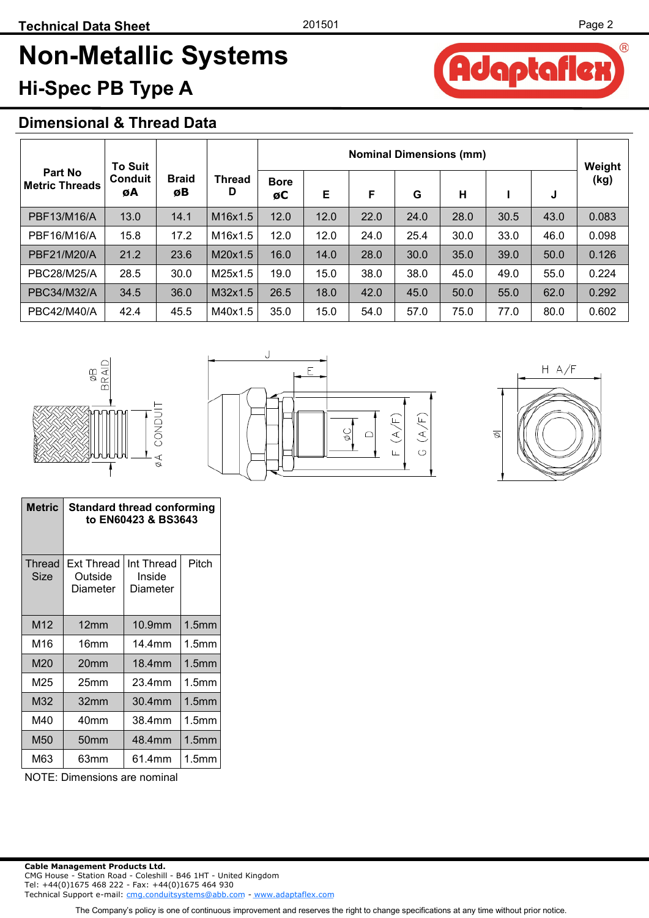# **Non-Metallic Systems Hi-Spec PB Type A**

## **Dimensional & Thread Data**

|                                  | <b>To Suit</b><br>Conduit<br>øΒ<br>øΑ |              |                    | <b>Nominal Dimensions (mm)</b> |      |      |      |      |      | Weight |       |
|----------------------------------|---------------------------------------|--------------|--------------------|--------------------------------|------|------|------|------|------|--------|-------|
| Part No<br><b>Metric Threads</b> |                                       | <b>Braid</b> | <b>Thread</b><br>D | <b>Bore</b><br>øC              | E    | F    | G    | н    |      | J      | (kg)  |
| PBF13/M16/A                      | 13.0                                  | 14.1         | M16x1.5            | 12.0                           | 12.0 | 22.0 | 24.0 | 28.0 | 30.5 | 43.0   | 0.083 |
| PBF16/M16/A                      | 15.8                                  | 17.2         | M16x1.5            | 12.0                           | 12.0 | 24.0 | 25.4 | 30.0 | 33.0 | 46.0   | 0.098 |
| PBF21/M20/A                      | 21.2                                  | 23.6         | M20x1.5            | 16.0                           | 14.0 | 28.0 | 30.0 | 35.0 | 39.0 | 50.0   | 0.126 |
| <b>PBC28/M25/A</b>               | 28.5                                  | 30.0         | M25x1.5            | 19.0                           | 15.0 | 38.0 | 38.0 | 45.0 | 49.0 | 55.0   | 0.224 |
| PBC34/M32/A                      | 34.5                                  | 36.0         | M32x1.5            | 26.5                           | 18.0 | 42.0 | 45.0 | 50.0 | 55.0 | 62.0   | 0.292 |
| PBC42/M40/A                      | 42.4                                  | 45.5         | M40x1.5            | 35.0                           | 15.0 | 54.0 | 57.0 | 75.0 | 77.0 | 80.0   | 0.602 |



|  | ۲Ŕ, |   | (A/F) |
|--|-----|---|-------|
|  |     | Õ |       |
|  |     |   |       |



| Metric         | <b>Standard thread conforming</b><br>to EN60423 & BS3643 |                                  |                   |  |  |  |  |  |
|----------------|----------------------------------------------------------|----------------------------------|-------------------|--|--|--|--|--|
| Thread<br>Size | <b>Ext Thread</b><br>Outside<br>Diameter                 | Int Thread<br>Inside<br>Diameter | Pitch             |  |  |  |  |  |
| M12            | 12 <sub>mm</sub>                                         | 10.9mm                           | 1.5 <sub>mm</sub> |  |  |  |  |  |
| M16            | 16mm                                                     | 14.4mm                           | 1.5 <sub>mm</sub> |  |  |  |  |  |
| M20            | 20 <sub>mm</sub>                                         | 18.4mm                           | 1.5 <sub>mm</sub> |  |  |  |  |  |
| M25            | 25mm                                                     | 23.4mm                           | 1.5 <sub>mm</sub> |  |  |  |  |  |
| M32            | 32mm                                                     | 30.4mm                           | 1.5 <sub>mm</sub> |  |  |  |  |  |
| M40            | 40mm                                                     | 38.4mm                           | 1.5 <sub>mm</sub> |  |  |  |  |  |
| M50            | 50mm                                                     | 48.4mm                           | 1.5 <sub>mm</sub> |  |  |  |  |  |
| M63            | 63mm                                                     | 61.4mm                           | 1.5 <sub>mm</sub> |  |  |  |  |  |

NOTE: Dimensions are nominal

The Company's policy is one of continuous improvement and reserves the right to change specifications at any time without prior notice.